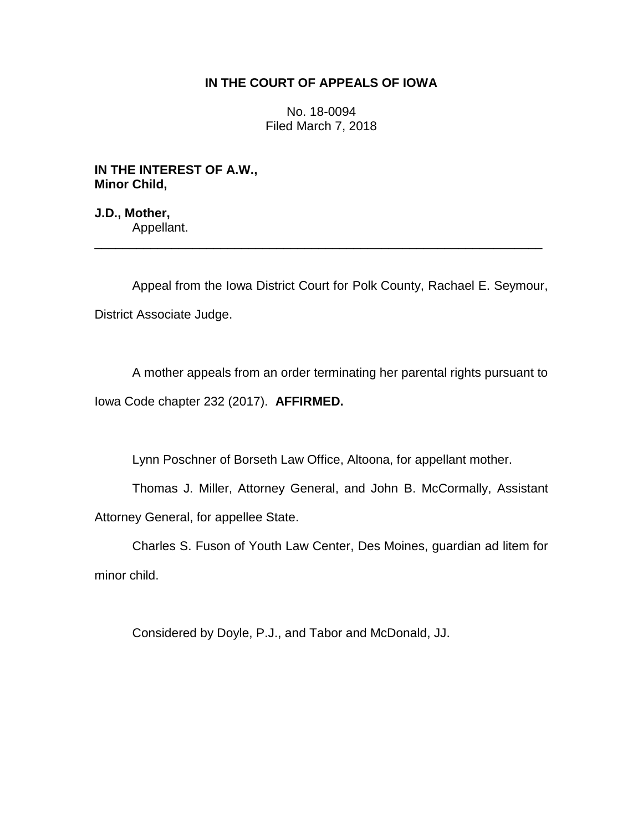## **IN THE COURT OF APPEALS OF IOWA**

No. 18-0094 Filed March 7, 2018

**IN THE INTEREST OF A.W., Minor Child,**

**J.D., Mother,** Appellant. \_\_\_\_\_\_\_\_\_\_\_\_\_\_\_\_\_\_\_\_\_\_\_\_\_\_\_\_\_\_\_\_\_\_\_\_\_\_\_\_\_\_\_\_\_\_\_\_\_\_\_\_\_\_\_\_\_\_\_\_\_\_\_\_

Appeal from the Iowa District Court for Polk County, Rachael E. Seymour, District Associate Judge.

A mother appeals from an order terminating her parental rights pursuant to Iowa Code chapter 232 (2017). **AFFIRMED.**

Lynn Poschner of Borseth Law Office, Altoona, for appellant mother.

Thomas J. Miller, Attorney General, and John B. McCormally, Assistant Attorney General, for appellee State.

Charles S. Fuson of Youth Law Center, Des Moines, guardian ad litem for minor child.

Considered by Doyle, P.J., and Tabor and McDonald, JJ.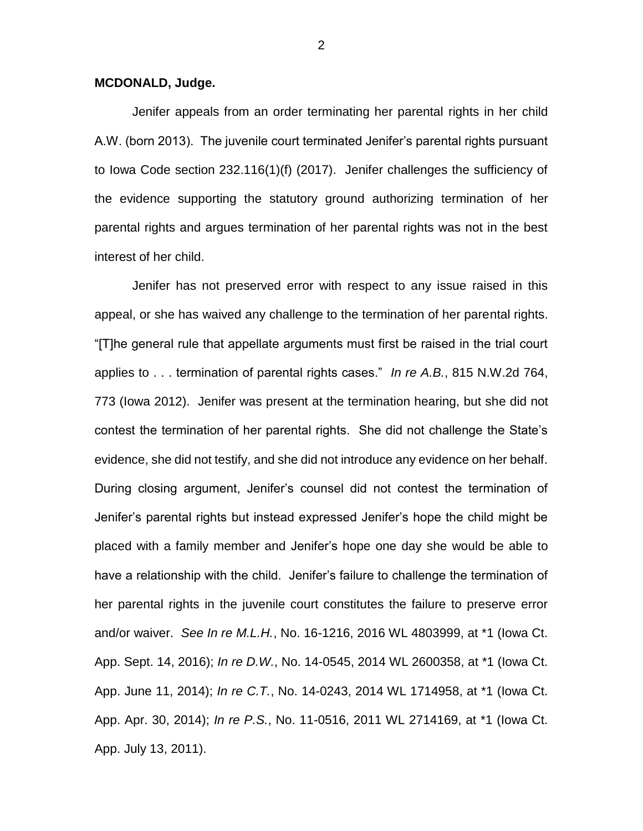## **MCDONALD, Judge.**

Jenifer appeals from an order terminating her parental rights in her child A.W. (born 2013). The juvenile court terminated Jenifer's parental rights pursuant to Iowa Code section 232.116(1)(f) (2017). Jenifer challenges the sufficiency of the evidence supporting the statutory ground authorizing termination of her parental rights and argues termination of her parental rights was not in the best interest of her child.

Jenifer has not preserved error with respect to any issue raised in this appeal, or she has waived any challenge to the termination of her parental rights. "[T]he general rule that appellate arguments must first be raised in the trial court applies to . . . termination of parental rights cases." *In re A.B.*, 815 N.W.2d 764, 773 (Iowa 2012). Jenifer was present at the termination hearing, but she did not contest the termination of her parental rights. She did not challenge the State's evidence, she did not testify, and she did not introduce any evidence on her behalf. During closing argument, Jenifer's counsel did not contest the termination of Jenifer's parental rights but instead expressed Jenifer's hope the child might be placed with a family member and Jenifer's hope one day she would be able to have a relationship with the child. Jenifer's failure to challenge the termination of her parental rights in the juvenile court constitutes the failure to preserve error and/or waiver. *See In re M.L.H.*, No. 16-1216, 2016 WL 4803999, at \*1 (Iowa Ct. App. Sept. 14, 2016); *In re D.W.*, No. 14-0545, 2014 WL 2600358, at \*1 (Iowa Ct. App. June 11, 2014); *In re C.T.*, No. 14-0243, 2014 WL 1714958, at \*1 (Iowa Ct. App. Apr. 30, 2014); *In re P.S.*, No. 11-0516, 2011 WL 2714169, at \*1 (Iowa Ct. App. July 13, 2011).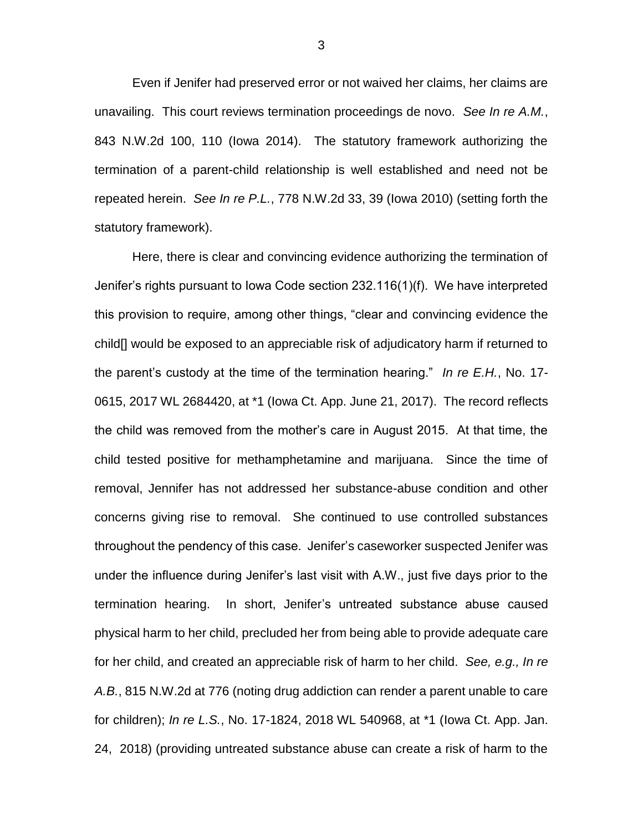Even if Jenifer had preserved error or not waived her claims, her claims are unavailing. This court reviews termination proceedings de novo. *See In re A.M.*, 843 N.W.2d 100, 110 (Iowa 2014). The statutory framework authorizing the termination of a parent-child relationship is well established and need not be repeated herein. *See In re P.L.*, 778 N.W.2d 33, 39 (Iowa 2010) (setting forth the statutory framework).

Here, there is clear and convincing evidence authorizing the termination of Jenifer's rights pursuant to Iowa Code section 232.116(1)(f). We have interpreted this provision to require, among other things, "clear and convincing evidence the child[] would be exposed to an appreciable risk of adjudicatory harm if returned to the parent's custody at the time of the termination hearing." *In re E.H.*, No. 17- 0615, 2017 WL 2684420, at \*1 (Iowa Ct. App. June 21, 2017). The record reflects the child was removed from the mother's care in August 2015. At that time, the child tested positive for methamphetamine and marijuana. Since the time of removal, Jennifer has not addressed her substance-abuse condition and other concerns giving rise to removal. She continued to use controlled substances throughout the pendency of this case. Jenifer's caseworker suspected Jenifer was under the influence during Jenifer's last visit with A.W., just five days prior to the termination hearing. In short, Jenifer's untreated substance abuse caused physical harm to her child, precluded her from being able to provide adequate care for her child, and created an appreciable risk of harm to her child. *See, e.g., In re A.B.*, 815 N.W.2d at 776 (noting drug addiction can render a parent unable to care for children); *In re L.S.*, No. 17-1824, 2018 WL 540968, at \*1 (Iowa Ct. App. Jan. 24, 2018) (providing untreated substance abuse can create a risk of harm to the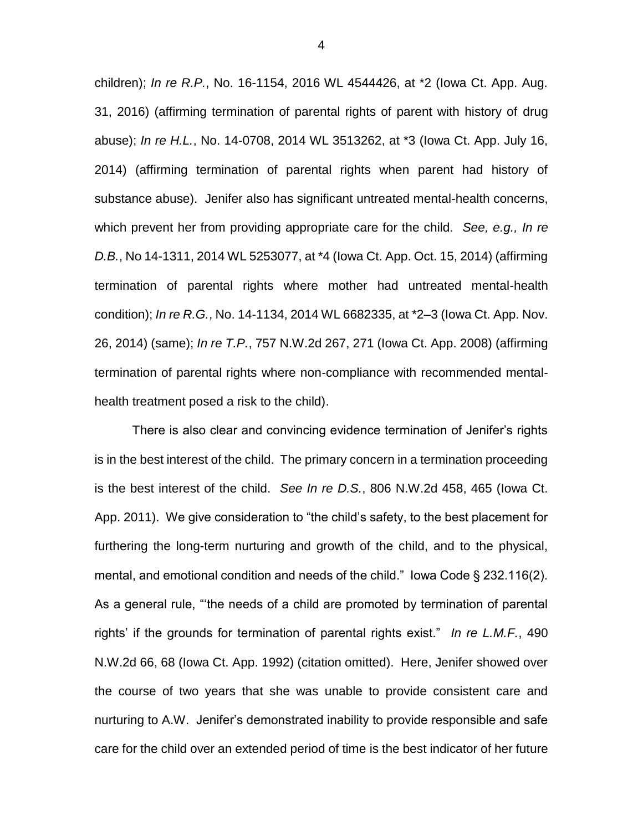children); *In re R.P.*, No. 16-1154, 2016 WL 4544426, at \*2 (Iowa Ct. App. Aug. 31, 2016) (affirming termination of parental rights of parent with history of drug abuse); *In re H.L.*, No. 14-0708, 2014 WL 3513262, at \*3 (Iowa Ct. App. July 16, 2014) (affirming termination of parental rights when parent had history of substance abuse). Jenifer also has significant untreated mental-health concerns, which prevent her from providing appropriate care for the child. *See, e.g., In re D.B.*, No 14-1311, 2014 WL 5253077, at \*4 (Iowa Ct. App. Oct. 15, 2014) (affirming termination of parental rights where mother had untreated mental-health condition); *In re R.G.*, No. 14-1134, 2014 WL 6682335, at \*2–3 (Iowa Ct. App. Nov. 26, 2014) (same); *In re T.P.*, 757 N.W.2d 267, 271 (Iowa Ct. App. 2008) (affirming termination of parental rights where non-compliance with recommended mentalhealth treatment posed a risk to the child).

There is also clear and convincing evidence termination of Jenifer's rights is in the best interest of the child. The primary concern in a termination proceeding is the best interest of the child. *See In re D.S.*, 806 N.W.2d 458, 465 (Iowa Ct. App. 2011). We give consideration to "the child's safety, to the best placement for furthering the long-term nurturing and growth of the child, and to the physical, mental, and emotional condition and needs of the child." Iowa Code § 232.116(2). As a general rule, "'the needs of a child are promoted by termination of parental rights' if the grounds for termination of parental rights exist." *In re L.M.F.*, 490 N.W.2d 66, 68 (Iowa Ct. App. 1992) (citation omitted). Here, Jenifer showed over the course of two years that she was unable to provide consistent care and nurturing to A.W. Jenifer's demonstrated inability to provide responsible and safe care for the child over an extended period of time is the best indicator of her future